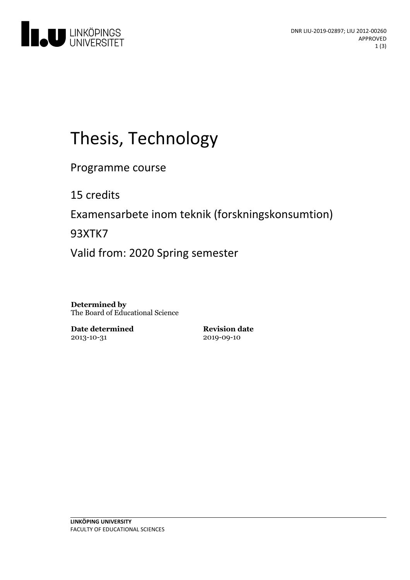

# Thesis, Technology

Programme course

15 credits

Examensarbete inom teknik (forskningskonsumtion)

93XTK7

Valid from: 2020 Spring semester

**Determined by** The Board of Educational Science

**Date determined** 2013-10-31

**Revision date** 2019-09-10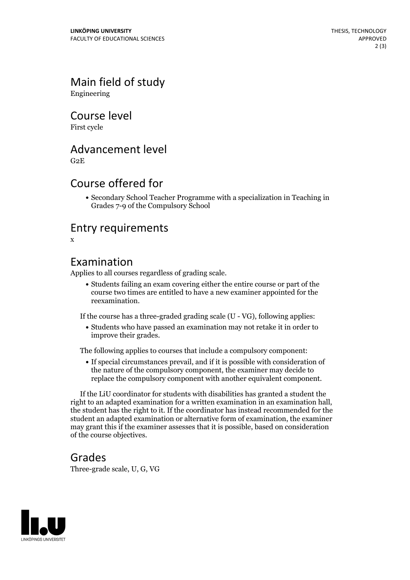## Main field of study

Engineering

### Course level

First cycle

#### Advancement level

G2E

#### Course offered for

Secondary School Teacher Programme with a specialization in Teaching in Grades 7-9 of the Compulsory School

#### Entry requirements

x

#### Examination

Applies to all courses regardless of grading scale.

Students failing an exam covering either the entire course or part of the course two times are entitled to have a new examiner appointed for the reexamination.

If the course has a three-graded grading scale (U - VG), following applies:

Students who have passed an examination may not retake it in order to improve their grades.

The following applies to courses that include a compulsory component:

If special circumstances prevail, and if it is possible with consideration of the nature of the compulsory component, the examiner may decide to replace the compulsory component with another equivalent component.

If the LiU coordinator for students with disabilities has granted a student the right to an adapted examination for <sup>a</sup> written examination in an examination hall, the student has the right to it. If the coordinator has instead recommended for the student an adapted examination or alternative form of examination, the examiner may grant this if the examiner assesses that it is possible, based on consideration of the course objectives.

#### Grades

Three-grade scale, U, G, VG